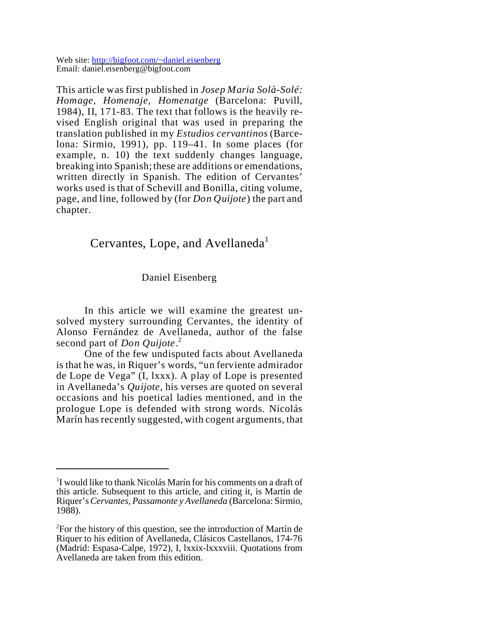Web site: http://bigfoot.com/~daniel.eisenberg Email: daniel.eisenberg@bigfoot.com

This article was first published in *Josep Maria Solà-Solé: Homage, Homenaje, Homenatge* (Barcelona: Puvill, 1984), II, 171-83. The text that follows is the heavily revised English original that was used in preparing the translation published in my *Estudios cervantinos* (Barcelona: Sirmio, 1991), pp. 119–41. In some places (for example, n. 10) the text suddenly changes language, breaking into Spanish; these are additions or emendations, written directly in Spanish. The edition of Cervantes' works used is that of Schevill and Bonilla, citing volume, page, and line, followed by (for *Don Quijote*) the part and chapter.

## Cervantes, Lope, and Avellaneda<sup>1</sup>

## Daniel Eisenberg

In this article we will examine the greatest unsolved mystery surrounding Cervantes, the identity of Alonso Fernández de Avellaneda, author of the false second part of *Don Quijote*. 2

One of the few undisputed facts about Avellaneda is that he was, in Riquer's words, "un ferviente admirador de Lope de Vega" (I, lxxx). A play of Lope is presented in Avellaneda's *Quijote*, his verses are quoted on several occasions and his poetical ladies mentioned, and in the prologue Lope is defended with strong words. Nicolás Marín has recently suggested, with cogent arguments, that

<sup>&</sup>lt;sup>1</sup>I would like to thank Nicolás Marín for his comments on a draft of this article. Subsequent to this article, and citing it, is Martín de Riquer's*Cervantes, Passamonte y Avellaneda* (Barcelona: Sirmio, 1988).

 $2$ For the history of this question, see the introduction of Martín de Riquer to his edition of Avellaneda, Clásicos Castellanos, 174-76 (Madrid: Espasa-Calpe, 1972), I, lxxix-lxxxviii. Quotations from Avellaneda are taken from this edition.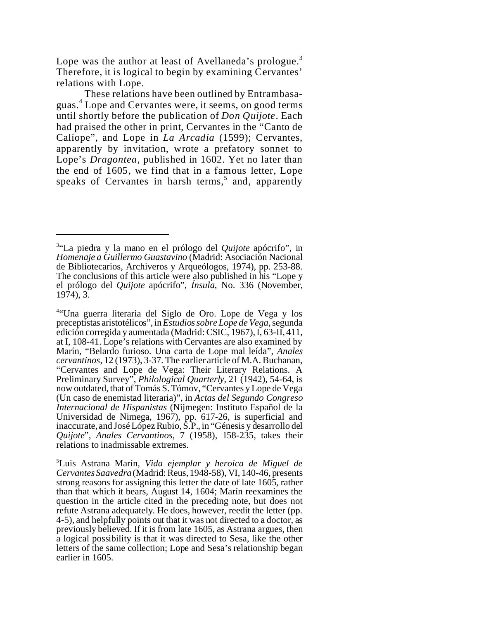Lope was the author at least of Avellaneda's prologue.<sup>3</sup> Therefore, it is logical to begin by examining Cervantes' relations with Lope.

These relations have been outlined by Entrambasaguas. 4 Lope and Cervantes were, it seems, on good terms until shortly before the publication of *Don Quijote*. Each had praised the other in print, Cervantes in the "Canto de Calíope", and Lope in *La Arcadia* (1599); Cervantes, apparently by invitation, wrote a prefatory sonnet to Lope's *Dragontea*, published in 1602. Yet no later than the end of 1605, we find that in a famous letter, Lope speaks of Cervantes in harsh terms,<sup>5</sup> and, apparently

<sup>3</sup> "La piedra y la mano en el prólogo del *Quijote* apócrifo", in *Homenaje a Guillermo Guastavino* (Madrid: Asociación Nacional de Bibliotecarios, Archiveros y Arqueólogos, 1974), pp. 253-88. The conclusions of this article were also published in his "Lope y el prólogo del *Quijote* apócrifo", *Ínsula*, No. 336 (November, 1974), 3.

<sup>4</sup> "Una guerra literaria del Siglo de Oro. Lope de Vega y los preceptistas aristotélicos",in*Estudios sobre Lope de Vega*,segunda edición corregida y aumentada (Madrid: CSIC, 1967), I, 63-II, 411, at I, 108-41. Lope's relations with Cervantes are also examined by Marín, "Belardo furioso. Una carta de Lope mal leída", *Anales cervantinos*, 12 (1973), 3-37. The earlier article of M.A. Buchanan, "Cervantes and Lope de Vega: Their Literary Relations. A Preliminary Survey", *Philological Quarterly*, 21 (1942), 54-64, is now outdated, that of Tomás S. Tómov, "Cervantes y Lope de Vega (Un caso de enemistad literaria)", in *Actas del Segundo Congreso Internacional de Hispanistas* (Nijmegen: Instituto Español de la Universidad de Nimega, 1967), pp. 617-26, is superficial and inaccurate, and José López Rubio, S.P., in "Génesis y desarrollo del *Quijote*", *Anales Cervantinos*, 7 (1958), 158-235, takes their relations to inadmissable extremes.

<sup>5</sup>Luis Astrana Marín, *Vida ejemplar y heroica de Miguel de* Cervantes Saavedra (Madrid: Reus, 1948-58), VI, 140-46, presents strong reasons for assigning this letter the date of late 1605, rather than that which it bears, August 14, 1604; Marín reexamines the question in the article cited in the preceding note, but does not refute Astrana adequately. He does, however, reedit the letter (pp. 4-5), and helpfully points out that it was not directed to a doctor, as previously believed. If it is from late 1605, as Astrana argues, then a logical possibility is that it was directed to Sesa, like the other letters of the same collection; Lope and Sesa's relationship began earlier in 1605.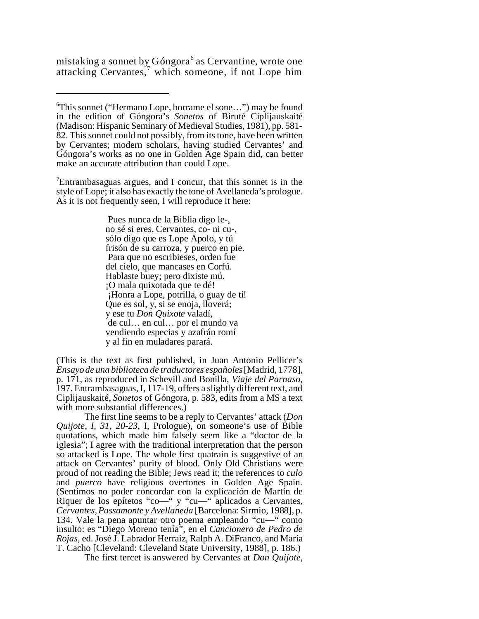mistaking a sonnet by Góngora<sup>6</sup> as Cervantine, wrote one attacking Cervantes,<sup>7</sup> which someone, if not Lope him

<sup>7</sup>Entrambasaguas argues, and I concur, that this sonnet is in the style of Lope; it also has exactly the tone of Avellaneda's prologue. As it is not frequently seen, I will reproduce it here:

> Pues nunca de la Biblia digo le-, no sé si eres, Cervantes, co- ni cu-, sólo digo que es Lope Apolo, y tú frisón de su carroza, y puerco en pie. Para que no escribieses, orden fue del cielo, que mancases en Corfú. Hablaste buey; pero dixiste mú. ¡O mala quixotada que te dé! ¡Honra a Lope, potrilla, o guay de ti! Que es sol, y, si se enoja, lloverá; y ese tu *Don Quixote* valadí, de cul… en cul… por el mundo va vendiendo especias y azafrán romí y al fin en muladares parará.

(This is the text as first published, in Juan Antonio Pellicer's *Ensayo de una biblioteca de traductores españoles* [Madrid, 1778], p. 171, as reproduced in Schevill and Bonilla, *Viaje del Parnaso*, 197. Entrambasaguas, I, 117-19, offers a slightly different text, and Ciplijauskaité, *Sonetos* of Góngora, p. 583, edits from a MS a text with more substantial differences.)

The first line seems to be a reply to Cervantes' attack (*Don Quijote, I, 31, 20-23,* I, Prologue), on someone's use of Bible quotations, which made him falsely seem like a "doctor de la iglesia"; I agree with the traditional interpretation that the person so attacked is Lope. The whole first quatrain is suggestive of an attack on Cervantes' purity of blood. Only Old Christians were proud of not reading the Bible; Jews read it; the references to *culo* and *puerco* have religious overtones in Golden Age Spain. (Sentimos no poder concordar con la explicación de Martín de Riquer de los epítetos "co—" y "cu—" aplicados a Cervantes, *Cervantes, Passamonte y Avellaneda* [Barcelona: Sirmio, 1988], p. 134. Vale la pena apuntar otro poema empleando "cu—" como insulto: es "Diego Moreno tenía", en el *Cancionero de Pedro de Rojas*, ed. José J. Labrador Herraiz, Ralph A. DiFranco, and María T. Cacho [Cleveland: Cleveland State University, 1988], p. 186.)

The first tercet is answered by Cervantes at *Don Quijote,*

<sup>6</sup>This sonnet ("Hermano Lope, borrame el sone…") may be found in the edition of Góngora's *Sonetos* of Biruté Ciplijauskaité (Madison: Hispanic Seminary of Medieval Studies, 1981), pp. 581- 82. This sonnet could not possibly, from its tone, have been written by Cervantes; modern scholars, having studied Cervantes' and Góngora's works as no one in Golden Age Spain did, can better make an accurate attribution than could Lope.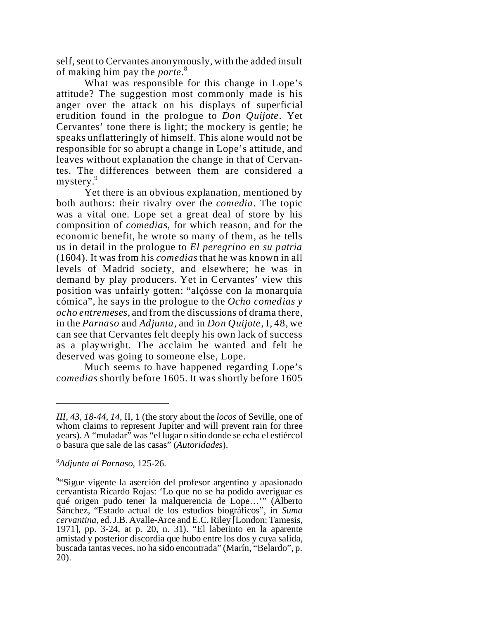self, sent to Cervantes anonymously, with the added insult of making him pay the *porte*. 8

What was responsible for this change in Lope's attitude? The suggestion most commonly made is his anger over the attack on his displays of superficial erudition found in the prologue to *Don Quijote*. Yet Cervantes' tone there is light; the mockery is gentle; he speaks unflatteringly of himself. This alone would not be responsible for so abrupt a change in Lope's attitude, and leaves without explanation the change in that of Cervantes. The differences between them are considered a mystery.<sup>9</sup>

Yet there is an obvious explanation, mentioned by both authors: their rivalry over the *comedia*. The topic was a vital one. Lope set a great deal of store by his composition of *comedias*, for which reason, and for the economic benefit, he wrote so many of them, as he tells us in detail in the prologue to *El peregrino en su patria* (1604). It was from his *comedias* that he was known in all levels of Madrid society, and elsewhere; he was in demand by play producers. Yet in Cervantes' view this position was unfairly gotten: "alçósse con la monarquía cómica", he says in the prologue to the *Ocho comedias y ocho entremeses,* and from the discussions of drama there, in the *Parnaso* and *Adjunta*, and in *Don Quijote*, I, 48, we can see that Cervantes felt deeply his own lack of success as a playwright. The acclaim he wanted and felt he deserved was going to someone else, Lope.

Much seems to have happened regarding Lope's *comedias* shortly before 1605. It was shortly before 1605

## <sup>8</sup>*Adjunta al Parnaso*, 125-26.

*III, 43, 18-44, 14*, II, 1 (the story about the *locos* of Seville, one of whom claims to represent Jupiter and will prevent rain for three years). A "muladar" was "el lugar o sitio donde se echa el estiércol o basura que sale de las casas" (*Autoridades*).

<sup>9</sup> "Sigue vigente la aserción del profesor argentino y apasionado cervantista Ricardo Rojas: 'Lo que no se ha podido averiguar es qué origen pudo tener la malquerencia de Lope…'" (Alberto Sánchez, "Estado actual de los estudios biográficos", in *Suma cervantina*, ed. J.B. Avalle-Arce and E.C. Riley [London: Tamesis, 1971], pp. 3-24, at p. 20, n. 31). "El laberinto en la aparente amistad y posterior discordia que hubo entre los dos y cuya salida, buscada tantas veces, no ha sido encontrada" (Marín, "Belardo", p. 20).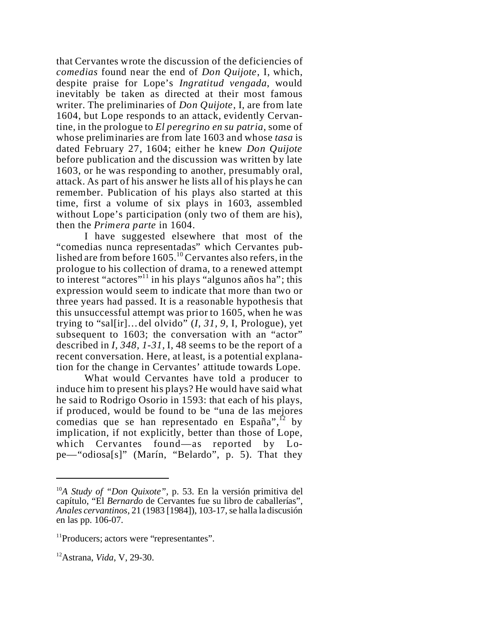that Cervantes wrote the discussion of the deficiencies of *comedias* found near the end of *Don Quijote*, I, which, despite praise for Lope's *Ingratitud vengada*, would inevitably be taken as directed at their most famous writer. The preliminaries of *Don Quijote*, I, are from late 1604, but Lope responds to an attack, evidently Cervantine, in the prologue to *El peregrino en su patria*, some of whose preliminaries are from late 1603 and whose *tasa* is dated February 27, 1604; either he knew *Don Quijote* before publication and the discussion was written by late 1603, or he was responding to another, presumably oral, attack. As part of his answer he lists all of his plays he can remember. Publication of his plays also started at this time, first a volume of six plays in 1603, assembled without Lope's participation (only two of them are his), then the *Primera parte* in 1604.

I have suggested elsewhere that most of the "comedias nunca representadas" which Cervantes published are from before  $1605$ .<sup>10</sup> Cervantes also refers, in the prologue to his collection of drama, to a renewed attempt to interest "actores"<sup>11</sup> in his plays "algunos años ha"; this expression would seem to indicate that more than two or three years had passed. It is a reasonable hypothesis that this unsuccessful attempt was prior to 1605, when he was trying to "sal[ir]…del olvido" (*I, 31, 9,* I, Prologue), yet subsequent to 1603; the conversation with an "actor" described in *I, 348, 1-31,* I, 48 seems to be the report of a recent conversation. Here, at least, is a potential explanation for the change in Cervantes' attitude towards Lope.

What would Cervantes have told a producer to induce him to present his plays? He would have said what he said to Rodrigo Osorio in 1593: that each of his plays, if produced, would be found to be "una de las mejores comedias que se han representado en España", $^{12}$  by implication, if not explicitly, better than those of Lope, which Cervantes found—as reported by Lope—"odiosa[s]" (Marín, "Belardo", p. 5). That they

<sup>10</sup>*A Study of "Don Quixote",* p. 53. En la versión primitiva del capítulo, "El *Bernardo* de Cervantes fue su libro de caballerías", *Anales cervantinos*, 21 (1983 [1984]), 103-17, se halla la discusión en las pp. 106-07.

<sup>&</sup>lt;sup>11</sup>Producers; actors were "representantes".

<sup>12</sup>Astrana, *Vida*, V, 29-30.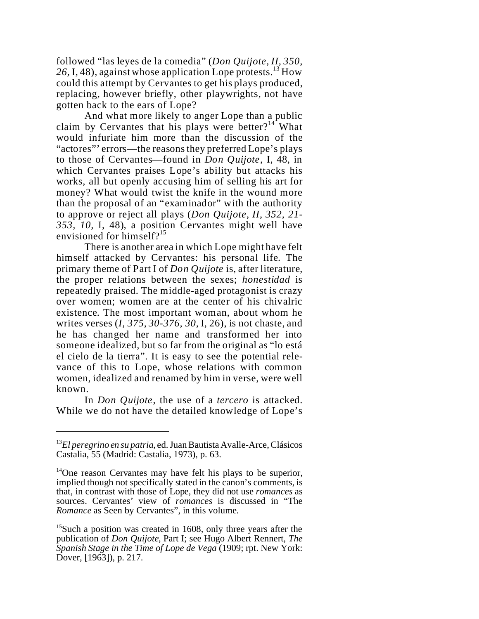followed "las leyes de la comedia" (*Don Quijote, II, 350,* 26, I, 48), against whose application Lope protests.<sup>13</sup> How could this attempt by Cervantes to get his plays produced, replacing, however briefly, other playwrights, not have gotten back to the ears of Lope?

And what more likely to anger Lope than a public claim by Cervantes that his plays were better?<sup>14</sup> What would infuriate him more than the discussion of the "actores"' errors—the reasonsthey preferred Lope's plays to those of Cervantes—found in *Don Quijote*, I, 48, in which Cervantes praises Lope's ability but attacks his works, all but openly accusing him of selling his art for money? What would twist the knife in the wound more than the proposal of an "examinador" with the authority to approve or reject all plays (*Don Quijote, II, 352, 21- 353, 10,* I, 48), a position Cervantes might well have envisioned for himself? $15$ 

There is another area in which Lope might have felt himself attacked by Cervantes: his personal life. The primary theme of Part I of *Don Quijote* is, after literature, the proper relations between the sexes; *honestidad* is repeatedly praised. The middle-aged protagonist is crazy over women; women are at the center of his chivalric existence. The most important woman, about whom he writes verses (*I, 375, 30-376, 30,* I, 26), is not chaste, and he has changed her name and transformed her into someone idealized, but so far from the original as "lo está el cielo de la tierra". It is easy to see the potential relevance of this to Lope, whose relations with common women, idealized and renamed by him in verse, were well known.

In *Don Quijote*, the use of a *tercero* is attacked. While we do not have the detailed knowledge of Lope's

<sup>13</sup>*El peregrino en su patria*, ed. Juan Bautista Avalle-Arce, Clásicos Castalia, 55 (Madrid: Castalia, 1973), p. 63.

 $14$ One reason Cervantes may have felt his plays to be superior, implied though not specifically stated in the canon's comments, is that, in contrast with those of Lope, they did not use *romances* as sources. Cervantes' view of *romances* is discussed in "The *Romance* as Seen by Cervantes", in this volume.

<sup>&</sup>lt;sup>15</sup>Such a position was created in 1608, only three years after the publication of *Don Quijote*, Part I; see Hugo Albert Rennert, *The Spanish Stage in the Time of Lope de Vega* (1909; rpt. New York: Dover, [1963]), p. 217.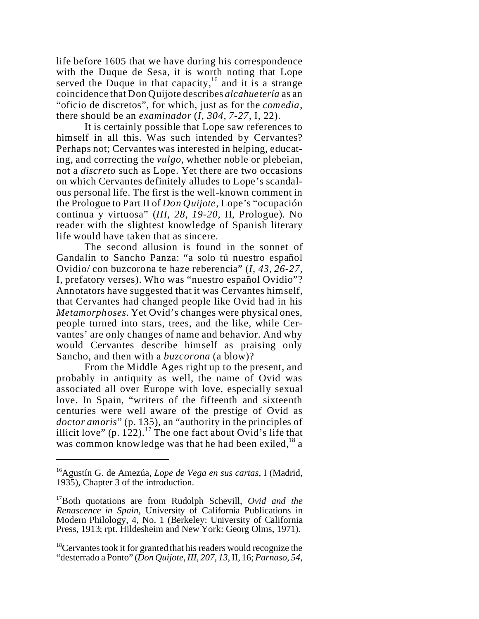life before 1605 that we have during his correspondence with the Duque de Sesa, it is worth noting that Lope served the Duque in that capacity,<sup>16</sup> and it is a strange coincidence that Don Quijote describes *alcahuetería* as an "oficio de discretos", for which, just as for the *comedia*, there should be an *examinador* (*I, 304, 7-27,* I, 22).

It is certainly possible that Lope saw references to himself in all this. Was such intended by Cervantes? Perhaps not; Cervantes was interested in helping, educating, and correcting the *vulgo*, whether noble or plebeian, not a *discreto* such as Lope. Yet there are two occasions on which Cervantes definitely alludes to Lope's scandalous personal life. The first is the well-known comment in the Prologue to Part II of *Don Quijote*, Lope's "ocupación continua y virtuosa" (*III, 28, 19-20,* II, Prologue). No reader with the slightest knowledge of Spanish literary life would have taken that as sincere.

The second allusion is found in the sonnet of Gandalín to Sancho Panza: "a solo tú nuestro español Ovidio/ con buzcorona te haze reberencia" (*I, 43, 26-27,* I, prefatory verses). Who was "nuestro español Ovidio"? Annotators have suggested that it was Cervantes himself, that Cervantes had changed people like Ovid had in his *Metamorphoses*. Yet Ovid's changes were physical ones, people turned into stars, trees, and the like, while Cervantes' are only changes of name and behavior. And why would Cervantes describe himself as praising only Sancho, and then with a *buzcorona* (a blow)?

From the Middle Ages right up to the present, and probably in antiquity as well, the name of Ovid was associated all over Europe with love, especially sexual love. In Spain, "writers of the fifteenth and sixteenth centuries were well aware of the prestige of Ovid as *doctor amoris*" (p. 135), an "authority in the principles of illicit love" (p. 122).<sup>17</sup> The one fact about Ovid's life that was common knowledge was that he had been exiled,<sup>18</sup> a

<sup>16</sup>Agustín G. de Amezúa, *Lope de Vega en sus cartas*, I (Madrid, 1935), Chapter 3 of the introduction.

<sup>17</sup>Both quotations are from Rudolph Schevill, *Ovid and the Renascence in Spain*, University of California Publications in Modern Philology, 4, No. 1 (Berkeley: University of California Press, 1913; rpt. Hildesheim and New York: Georg Olms, 1971).

 $18$ Cervantes took it for granted that his readers would recognize the "desterrado a Ponto" (*Don Quijote, III, 207, 13*, II, 16; *Parnaso, 54,*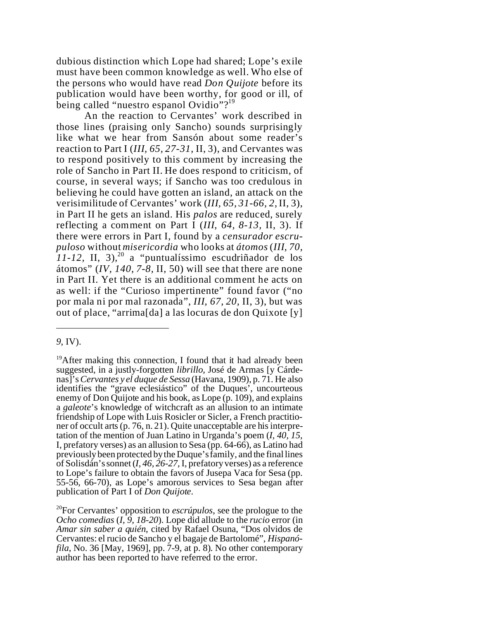dubious distinction which Lope had shared; Lope's exile must have been common knowledge as well. Who else of the persons who would have read *Don Quijote* before its publication would have been worthy, for good or ill, of being called "nuestro espanol Ovidio"?<sup>19</sup>

An the reaction to Cervantes' work described in those lines (praising only Sancho) sounds surprisingly like what we hear from Sansón about some reader's reaction to Part I (*III, 65, 27-31,* II, 3), and Cervantes was to respond positively to this comment by increasing the role of Sancho in Part II. He does respond to criticism, of course, in several ways; if Sancho was too credulous in believing he could have gotten an island, an attack on the verisimilitude of Cervantes' work (*III, 65, 31-66, 2,* II, 3), in Part II he gets an island. His *palos* are reduced, surely reflecting a comment on Part I (*III, 64, 8-13,* II, 3). If there were errors in Part I, found by a *censurador escrupuloso* without *misericordia* who looks at *átomos* (*III, 70,*  $11-12$ , II, 3),<sup>20</sup> a "puntualíssimo escudriñador de los átomos" (*IV, 140, 7-8,* II, 50) will see that there are none in Part II. Yet there is an additional comment he acts on as well: if the "Curioso impertinente" found favor ("no por mala ni por mal razonada", *III, 67, 20,* II, 3), but was out of place, "arrima[da] a las locuras de don Quixote [y]

*<sup>9</sup>*, IV).

 $19$ After making this connection, I found that it had already been suggested, in a justly-forgotten *librillo*, José de Armas [y Cárdenas]'s*Cervantes y el duque de Sessa* (Havana, 1909), p. 71. He also identifies the "grave eclesiástico" of the Duques', uncourteous enemy of Don Quijote and his book, as Lope (p. 109), and explains a *galeote*'s knowledge of witchcraft as an allusion to an intimate friendship of Lope with Luis Rosicler or Sicler, a French practitioner of occult arts (p. 76, n. 21). Quite unacceptable are his interpretation of the mention of Juan Latino in Urganda's poem (*I, 40, 15,* I, prefatory verses) as an allusion to Sesa (pp. 64-66), as Latino had previously been protected by the Duque's family, and the final lines of Solisdán's sonnet (*I, 46, 26-27,* I, prefatory verses) as a reference to Lope's failure to obtain the favors of Jusepa Vaca for Sesa (pp. 55-56, 66-70), as Lope's amorous services to Sesa began after publication of Part I of *Don Quijote*.

<sup>20</sup>For Cervantes' opposition to *escrúpulos*, see the prologue to the *Ocho comedias* (*I, 9, 18-20*). Lope did allude to the *rucio* error (in *Amar sin saber a quién*, cited by Rafael Osuna, "Dos olvidos de Cervantes: el rucio de Sancho y el bagaje de Bartolomé", *Hispanófila*, No. 36 [May, 1969], pp. 7-9, at p. 8). No other contemporary author has been reported to have referred to the error.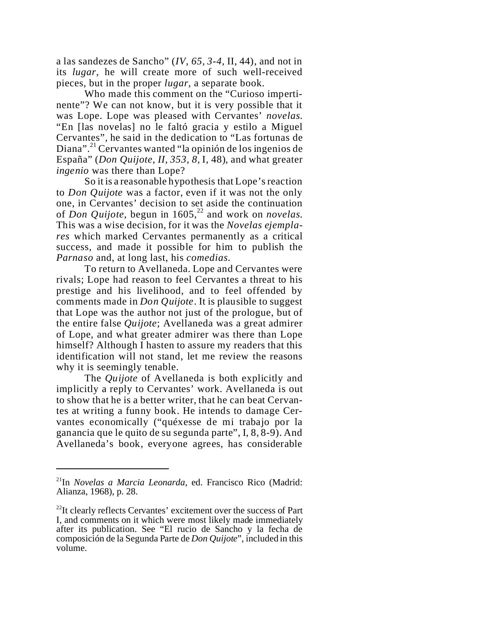a las sandezes de Sancho" (*IV, 65, 3-4,* II, 44), and not in its *lugar*, he will create more of such well-received pieces, but in the proper *lugar*, a separate book.

Who made this comment on the "Curioso impertinente"? We can not know, but it is very possible that it was Lope. Lope was pleased with Cervantes' *novelas*. "En [las novelas] no le faltó gracia y estilo a Miguel Cervantes", he said in the dedication to "Las fortunas de Diana".<sup>21</sup> Cervantes wanted "la opinión de los ingenios de España" (*Don Quijote, II, 353, 8,* I, 48), and what greater *ingenio* was there than Lope?

So it is a reasonable hypothesis that Lope's reaction to *Don Quijote* was a factor, even if it was not the only one, in Cervantes' decision to set aside the continuation of *Don Quijote*, begun in 1605,<sup>22</sup> and work on *novelas*. This was a wise decision, for it was the *Novelas ejemplares* which marked Cervantes permanently as a critical success, and made it possible for him to publish the *Parnaso* and, at long last, his *comedias*.

To return to Avellaneda. Lope and Cervantes were rivals; Lope had reason to feel Cervantes a threat to his prestige and his livelihood, and to feel offended by comments made in *Don Quijote*. It is plausible to suggest that Lope was the author not just of the prologue, but of the entire false *Quijote*; Avellaneda was a great admirer of Lope, and what greater admirer was there than Lope himself? Although I hasten to assure my readers that this identification will not stand, let me review the reasons why it is seemingly tenable.

The *Quijote* of Avellaneda is both explicitly and implicitly a reply to Cervantes' work. Avellaneda is out to show that he is a better writer, that he can beat Cervantes at writing a funny book. He intends to damage Cervantes economically ("quéxesse de mi trabajo por la ganancia que le quito de su segunda parte", I, 8, 8-9). And Avellaneda's book, everyone agrees, has considerable

<sup>21</sup>In *Novelas a Marcia Leonarda*, ed. Francisco Rico (Madrid: Alianza, 1968), p. 28.

 $^{22}$ It clearly reflects Cervantes' excitement over the success of Part I, and comments on it which were most likely made immediately after its publication. See "El rucio de Sancho y la fecha de composición de la Segunda Parte de *Don Quijote*", included in this volume.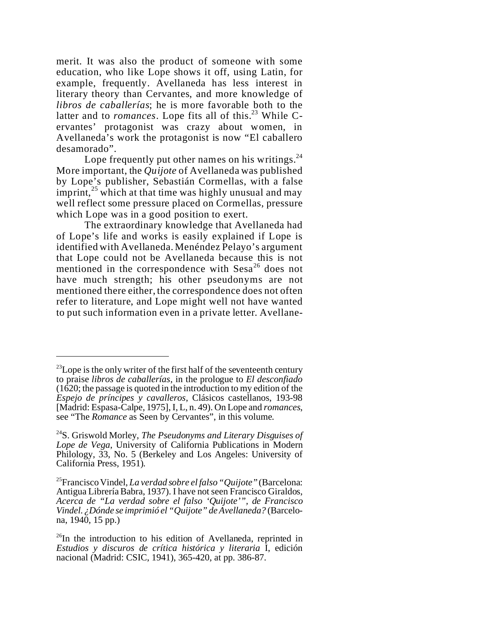merit. It was also the product of someone with some education, who like Lope shows it off, using Latin, for example, frequently. Avellaneda has less interest in literary theory than Cervantes, and more knowledge of *libros de caballerías*; he is more favorable both to the latter and to *romances*. Lope fits all of this.<sup>23</sup> While Cervantes' protagonist was crazy about women, in Avellaneda's work the protagonist is now "El caballero desamorado".

Lope frequently put other names on his writings. $^{24}$ More important, the *Quijote* of Avellaneda was published by Lope's publisher, Sebastián Cormellas, with a false imprint, $^{25}$  which at that time was highly unusual and may well reflect some pressure placed on Cormellas, pressure which Lope was in a good position to exert.

The extraordinary knowledge that Avellaneda had of Lope's life and works is easily explained if Lope is identified with Avellaneda. Menéndez Pelayo's argument that Lope could not be Avellaneda because this is not mentioned in the correspondence with Sesa<sup>26</sup> does not have much strength; his other pseudonyms are not mentioned there either, the correspondence does not often refer to literature, and Lope might well not have wanted to put such information even in a private letter. Avellane-

 $^{23}$ Lope is the only writer of the first half of the seventeenth century to praise *libros de caballerías*, in the prologue to *El desconfiado*  $(1620;$  the passage is quoted in the introduction to my edition of the *Espejo de príncipes y cavalleros*, Clásicos castellanos, 193-98 [Madrid: Espasa-Calpe, 1975], I, L, n. 49). On Lope and *romances*, see "The *Romance* as Seen by Cervantes", in this volume.

<sup>24</sup>S. Griswold Morley, *The Pseudonyms and Literary Disguises of Lope de Vega*, University of California Publications in Modern Philology, 33, No. 5 (Berkeley and Los Angeles: University of California Press, 1951).

<sup>25</sup>Francisco Vindel, *La verdad sobre el falso "Quijote"* (Barcelona: Antigua Librería Babra, 1937). I have not seen Francisco Giraldos, *Acerca de "La verdad sobre el falso 'Quijote'", de Francisco Vindel. ¿Dónde se imprimió el "Quijote" de Avellaneda?* (Barcelona, 1940, 15 pp.)

 $^{26}$ In the introduction to his edition of Avellaneda, reprinted in *Estudios y discuros de crítica histórica y literaria* I, edición nacional (Madrid: CSIC, 1941), 365-420, at pp. 386-87.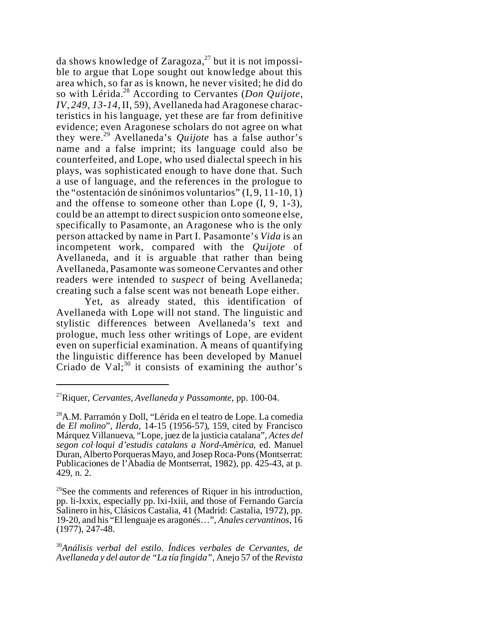da shows knowledge of Zaragoza, $^{27}$  but it is not impossible to argue that Lope sought out knowledge about this area which, so far as is known, he never visited; he did do so with Lérida.<sup>28</sup> According to Cervantes (*Don Quijote, IV, 249, 13-14,* II, 59), Avellaneda had Aragonese characteristics in his language, yet these are far from definitive evidence; even Aragonese scholars do not agree on what they were. <sup>29</sup> Avellaneda's *Quijote* has a false author's name and a false imprint; its language could also be counterfeited, and Lope, who used dialectal speech in his plays, was sophisticated enough to have done that. Such a use of language, and the references in the prologue to the "ostentación de sinónimos voluntarios" (I, 9, 11-10, 1) and the offense to someone other than Lope (I, 9, 1-3), could be an attempt to direct suspicion onto someone else, specifically to Pasamonte, an Aragonese who is the only person attacked by name in Part I. Pasamonte's *Vida* is an incompetent work, compared with the *Quijote* of Avellaneda, and it is arguable that rather than being Avellaneda, Pasamonte was someone Cervantes and other readers were intended to *suspect* of being Avellaneda; creating such a false scent was not beneath Lope either.

Yet, as already stated, this identification of Avellaneda with Lope will not stand. The linguistic and stylistic differences between Avellaneda's text and prologue, much less other writings of Lope, are evident even on superficial examination. A means of quantifying the linguistic difference has been developed by Manuel Criado de Val; $^{30}$  it consists of examining the author's

<sup>27</sup>Riquer, *Cervantes, Avellaneda y Passamonte*, pp. 100-04.

<sup>28</sup>A.M. Parramón y Doll, "Lérida en el teatro de Lope. La comedia de *El molino*", *Ilerda*, 14-15 (1956-57), 159, cited by Francisco Márquez Villanueva, "Lope, juez de la justicia catalana", *Actes del*  $segon$  col·loqui d'estudis catalans a Nord-Amèrica, ed. Manuel Duran, Alberto Porqueras Mayo, and Josep Roca-Pons (Montserrat: Publicaciones de l'Abadia de Montserrat, 1982), pp. 425-43, at p. 429, n. 2.

 $29$ See the comments and references of Riquer in his introduction, pp. li-lxxix, especially pp. lxi-lxiii, and those of Fernando García Salinero in his, Clásicos Castalia, 41 (Madrid: Castalia, 1972), pp. 19-20, and his "El lenguaje es aragonés…", *Anales cervantinos*, 16 (1977), 247-48.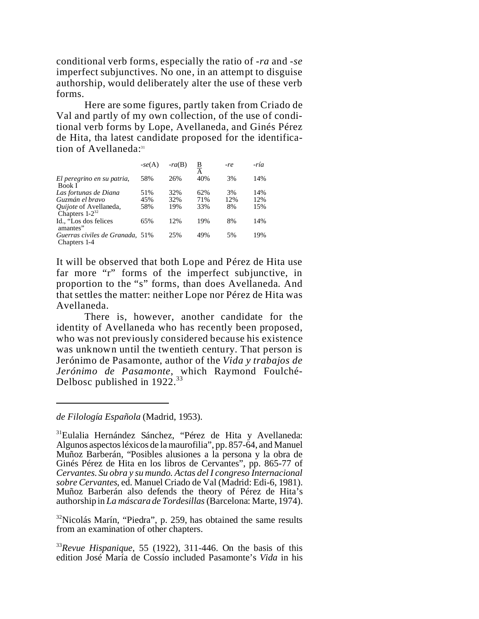conditional verb forms, especially the ratio of *-ra* and *-se* imperfect subjunctives. No one, in an attempt to disguise authorship, would deliberately alter the use of these verb forms.

Here are some figures, partly taken from Criado de Val and partly of my own collection, of the use of conditional verb forms by Lope, Avellaneda, and Ginés Pérez de Hita, tha latest candidate proposed for the identification of Avellaneda:<sup>31</sup>

|                                                 | $-se(A)$ | $-ra(B)$ | <u>B</u><br>A | -re | -ría |
|-------------------------------------------------|----------|----------|---------------|-----|------|
| El peregrino en su patria,<br>Book I            | 58%      | 26%      | 40%           | 3%  | 14%  |
| Las fortunas de Diana                           | 51%      | 32%      | 62%           | 3%  | 14%  |
| Guzmán el bravo                                 | 45%      | 32%      | 71%           | 12% | 12%  |
| Quijote of Avellaneda,<br>Chapters $1-2^{32}$   | 58%      | 19%      | 33%           | 8%  | 15%  |
| Id., "Los dos felices"<br>amantes"              | 65%      | 12%      | 19%           | 8%  | 14%  |
| Guerras civiles de Granada, 51%<br>Chapters 1-4 |          | 25%      | 49%           | 5%  | 19%  |

It will be observed that both Lope and Pérez de Hita use far more "r" forms of the imperfect subjunctive, in proportion to the "s" forms, than does Avellaneda. And that settles the matter: neither Lope nor Pérez de Hita was Avellaneda.

There is, however, another candidate for the identity of Avellaneda who has recently been proposed, who was not previously considered because his existence was unknown until the twentieth century. That person is Jerónimo de Pasamonte, author of the *Vida y trabajos de Jerónimo de Pasamonte*, which Raymond Foulché-Delbosc published in  $1922.^{33}$ 

*de Filología Española* (Madrid, 1953).

 $32$ Nicolás Marín, "Piedra", p. 259, has obtained the same results from an examination of other chapters.

<sup>33</sup>*Revue Hispanique*, 55 (1922), 311-446. On the basis of this edition José María de Cossío included Pasamonte's *Vida* in his

<sup>31</sup>Eulalia Hernández Sánchez, "Pérez de Hita y Avellaneda: Algunos aspectosléxicos de la maurofilia", pp. 857-64, and Manuel Muñoz Barberán, "Posibles alusiones a la persona y la obra de Ginés Pérez de Hita en los libros de Cervantes", pp. 865-77 of *Cervantes. Su obra y su mundo. Actas del I congreso Internacional sobre Cervantes*, ed. Manuel Criado de Val (Madrid: Edi-6, 1981). Muñoz Barberán also defends the theory of Pérez de Hita's authorship in *La máscara de Tordesillas* (Barcelona: Marte, 1974).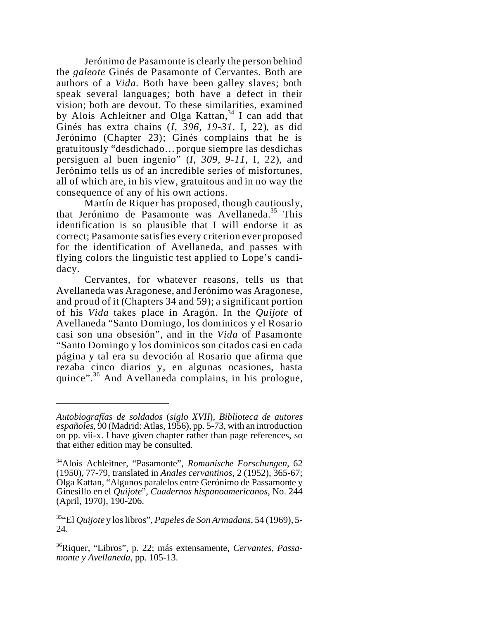Jerónimo de Pasamonte is clearly the person behind the *galeote* Ginés de Pasamonte of Cervantes. Both are authors of a *Vida*. Both have been galley slaves; both speak several languages; both have a defect in their vision; both are devout. To these similarities, examined by Alois Achleitner and Olga Kattan, <sup>34</sup> I can add that Ginés has extra chains (*I, 396, 19-31,* I, 22), as did Jerónimo (Chapter 23); Ginés complains that he is gratuitously "desdichado…porque siempre las desdichas persiguen al buen ingenio" (*I, 309, 9-11,* I, 22), and Jerónimo tells us of an incredible series of misfortunes, all of which are, in his view, gratuitous and in no way the consequence of any of his own actions.

Martín de Riquer has proposed, though cautiously, that Jerónimo de Pasamonte was Avellaneda.<sup>35</sup> This identification is so plausible that I will endorse it as correct; Pasamonte satisfies every criterion ever proposed for the identification of Avellaneda, and passes with flying colors the linguistic test applied to Lope's candidacy.

Cervantes, for whatever reasons, tells us that Avellaneda was Aragonese, and Jerónimo was Aragonese, and proud of it (Chapters 34 and 59); a significant portion of his *Vida* takes place in Aragón. In the *Quijote* of Avellaneda "Santo Domingo, los dominicos y el Rosario casi son una obsesión", and in the *Vida* of Pasamonte "Santo Domingo y los dominicos son citados casi en cada página y tal era su devoción al Rosario que afirma que rezaba cinco diarios y, en algunas ocasiones, hasta quince".<sup>36</sup> And Avellaneda complains, in his prologue,

*Autobiografías de soldados* (*siglo XVII*), *Biblioteca de autores españoles*, 90 (Madrid: Atlas, 1956), pp. 5-73, with an introduction on pp. vii-x. I have given chapter rather than page references, so that either edition may be consulted.

<sup>34</sup>Alois Achleitner, "Pasamonte", *Romanische Forschungen*, 62 (1950), 77-79, translated in *Anales cervantinos*, 2 (1952), 365-67; Olga Kattan, "Algunos paralelos entre Gerónimo de Passamonte y Ginesillo en el *Quijote*", *Cuadernos hispanoamericanos*, No. 244 (April, 1970), 190-206.

<sup>35</sup>"El *Quijote* y los libros", *Papeles de Son Armadans*, 54 (1969), 5- 24.

<sup>36</sup>Riquer, "Libros", p. 22; más extensamente, *Cervantes, Passamonte y Avellaneda*, pp. 105-13.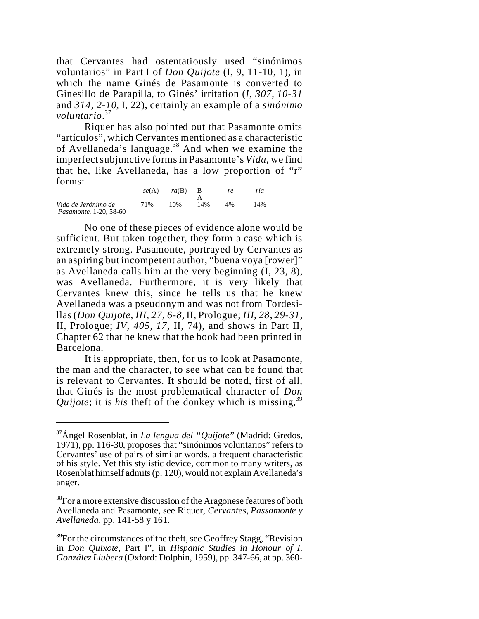that Cervantes had ostentatiously used "sinónimos voluntarios" in Part I of *Don Quijote* (I, 9, 11-10, 1), in which the name Ginés de Pasamonte is converted to Ginesillo de Parapilla, to Ginés' irritation (*I, 307, 10-31* and *314, 2-10*, I, 22), certainly an example of a *sinónimo voluntario*. 37

Riquer has also pointed out that Pasamonte omits "artículos", which Cervantes mentioned as a characteristic of Avellaneda's language.<sup>38</sup> And when we examine the imperfect subjunctive formsin Pasamonte's *Vida*, we find that he, like Avellaneda, has a low proportion of "r" forms:

|                                                      | $-se(A)$ | $-ra(B)$ |     | $-re$ | -ría |
|------------------------------------------------------|----------|----------|-----|-------|------|
| Vida de Jerónimo de<br><i>Pasamonte, 1-20, 58-60</i> | 71%      | 10%      | 14% | 4%    | 14%  |

No one of these pieces of evidence alone would be sufficient. But taken together, they form a case which is extremely strong. Pasamonte, portrayed by Cervantes as an aspiring but incompetent author, "buena voya [rower]" as Avellaneda calls him at the very beginning (I, 23, 8), was Avellaneda. Furthermore, it is very likely that Cervantes knew this, since he tells us that he knew Avellaneda was a pseudonym and was not from Tordesillas (*Don Quijote, III, 27, 6-8,* II, Prologue; *III, 28, 29-31,* II, Prologue; *IV, 405, 17,* II, 74), and shows in Part II, Chapter 62 that he knew that the book had been printed in Barcelona.

It is appropriate, then, for us to look at Pasamonte, the man and the character, to see what can be found that is relevant to Cervantes. It should be noted, first of all, that Ginés is the most problematical character of *Don Quijote*; it is *his* theft of the donkey which is missing, 39

<sup>37</sup>Ángel Rosenblat, in *La lengua del "Quijote"* (Madrid: Gredos, 1971), pp. 116-30, proposes that "sinónimos voluntarios" refers to Cervantes' use of pairs of similar words, a frequent characteristic of his style. Yet this stylistic device, common to many writers, as Rosenblat himself admits (p. 120), would not explain Avellaneda's anger.

<sup>&</sup>lt;sup>38</sup>For a more extensive discussion of the Aragonese features of both Avellaneda and Pasamonte, see Riquer, *Cervantes, Passamonte y Avellaneda*, pp. 141-58 y 161.

<sup>&</sup>lt;sup>39</sup>For the circumstances of the theft, see Geoffrey Stagg, "Revision" in *Don Quixote*, Part I", in *Hispanic Studies in Honour of I. González Llubera* (Oxford: Dolphin, 1959), pp. 347-66, at pp. 360-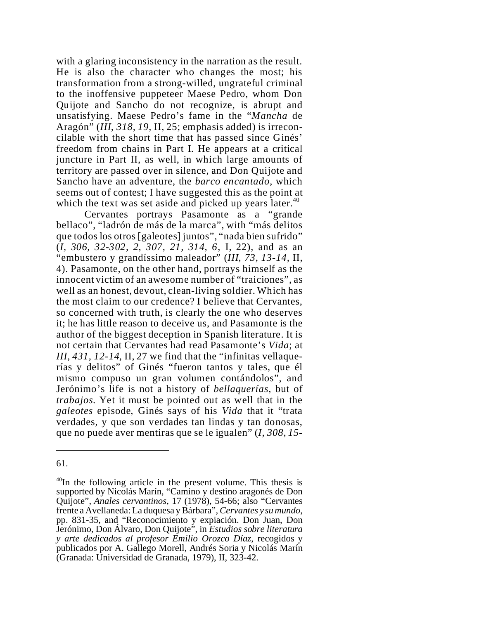with a glaring inconsistency in the narration as the result. He is also the character who changes the most; his transformation from a strong-willed, ungrateful criminal to the inoffensive puppeteer Maese Pedro, whom Don Quijote and Sancho do not recognize, is abrupt and unsatisfying. Maese Pedro's fame in the "*Mancha* de Aragón" (*III, 318, 19,* II, 25; emphasis added) is irreconcilable with the short time that has passed since Ginés' freedom from chains in Part I. He appears at a critical juncture in Part II, as well, in which large amounts of territory are passed over in silence, and Don Quijote and Sancho have an adventure, the *barco encantado*, which seems out of contest; I have suggested this as the point at which the text was set aside and picked up years later.<sup>40</sup>

Cervantes portrays Pasamonte as a "grande bellaco", "ladrón de más de la marca", with "más delitos que todos los otros [galeotes] juntos", "nada bien sufrido" (*I, 306, 32-302, 2, 307, 21, 314, 6*, I, 22), and as an "embustero y grandíssimo maleador" (*III, 73, 13-14,* II, 4). Pasamonte, on the other hand, portrays himself as the innocent victim of an awesome number of "traiciones", as well as an honest, devout, clean-living soldier. Which has the most claim to our credence? I believe that Cervantes, so concerned with truth, is clearly the one who deserves it; he has little reason to deceive us, and Pasamonte is the author of the biggest deception in Spanish literature. It is not certain that Cervantes had read Pasamonte's *Vida*; at *III, 431, 12-14*, II, 27 we find that the "infinitas vellaquerías y delitos" of Ginés "fueron tantos y tales, que él mismo compuso un gran volumen contándolos", and Jerónimo's life is not a history of *bellaquerías*, but of *trabajos*. Yet it must be pointed out as well that in the *galeotes* episode, Ginés says of his *Vida* that it "trata verdades, y que son verdades tan lindas y tan donosas, que no puede aver mentiras que se le igualen" (*I, 308, 15-*

<sup>61.</sup>

 $40$ In the following article in the present volume. This thesis is supported by Nicolás Marín, "Camino y destino aragonés de Don Quijote", *Anales cervantinos*, 17 (1978), 54-66; also "Cervantes frente a Avellaneda: La duquesa y Bárbara", *Cervantes y su mundo*, pp. 831-35, and "Reconocimiento y expiación. Don Juan, Don Jerónimo, Don Álvaro, Don Quijote", in *Estudios sobre literatura y arte dedicados al profesor Emilio Orozco Díaz*, recogidos y publicados por A. Gallego Morell, Andrés Soria y Nicolás Marín (Granada: Universidad de Granada, 1979), II, 323-42.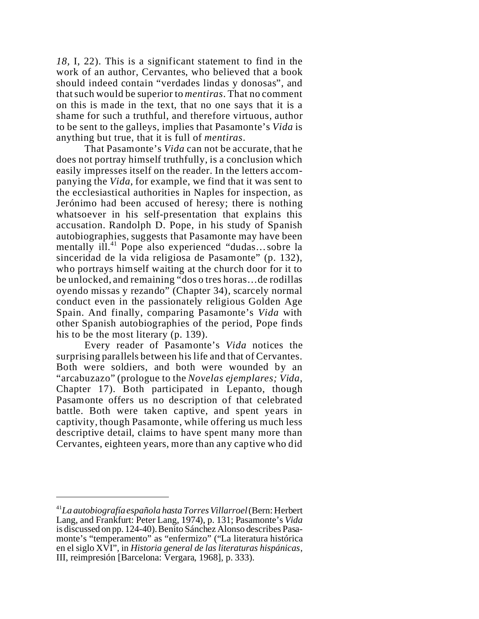*18,* I, 22). This is a significant statement to find in the work of an author, Cervantes, who believed that a book should indeed contain "verdades lindas y donosas", and that such would be superior to *mentiras*. That no comment on this is made in the text, that no one says that it is a shame for such a truthful, and therefore virtuous, author to be sent to the galleys, implies that Pasamonte's *Vida* is anything but true, that it is full of *mentiras*.

That Pasamonte's *Vida* can not be accurate, that he does not portray himself truthfully, is a conclusion which easily impresses itself on the reader. In the letters accompanying the *Vida*, for example, we find that it was sent to the ecclesiastical authorities in Naples for inspection, as Jerónimo had been accused of heresy; there is nothing whatsoever in his self-presentation that explains this accusation. Randolph D. Pope, in his study of Spanish autobiographies, suggests that Pasamonte may have been mentally  $i\prod_{i=1}^{n}$  Pope also experienced "dudas... sobre la sinceridad de la vida religiosa de Pasamonte" (p. 132), who portrays himself waiting at the church door for it to be unlocked, and remaining "dos o tres horas…de rodillas oyendo missas y rezando" (Chapter 34), scarcely normal conduct even in the passionately religious Golden Age Spain. And finally, comparing Pasamonte's *Vida* with other Spanish autobiographies of the period, Pope finds his to be the most literary (p. 139).

Every reader of Pasamonte's *Vida* notices the surprising parallels between his life and that of Cervantes. Both were soldiers, and both were wounded by an "arcabuzazo" (prologue to the *Novelas ejemplares; Vida*, Chapter 17). Both participated in Lepanto, though Pasamonte offers us no description of that celebrated battle. Both were taken captive, and spent years in captivity, though Pasamonte, while offering us much less descriptive detail, claims to have spent many more than Cervantes, eighteen years, more than any captive who did

<sup>41</sup>*La autobiografía española hasta Torres Villarroel* (Bern: Herbert Lang, and Frankfurt: Peter Lang, 1974), p. 131; Pasamonte's *Vida* is discussed on pp. 124-40). Benito Sánchez Alonso describes Pasamonte's "temperamento" as "enfermizo" ("La literatura histórica en el siglo XVI", in *Historia general de las literaturas hispánicas*, III, reimpresión [Barcelona: Vergara, 1968], p. 333).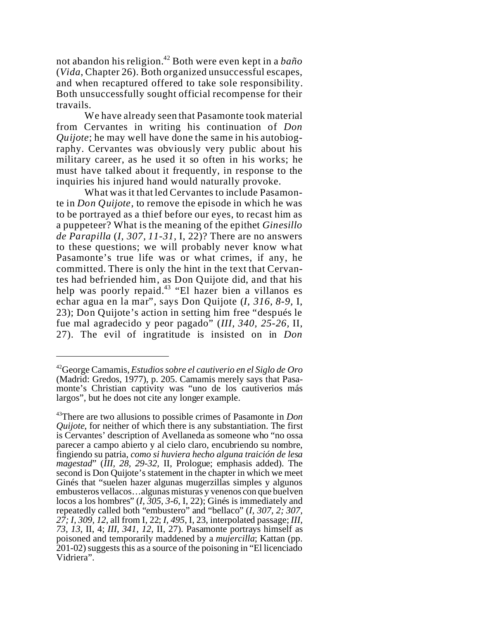not abandon his religion.<sup>42</sup> Both were even kept in a *baño* (*Vida*, Chapter 26). Both organized unsuccessful escapes, and when recaptured offered to take sole responsibility. Both unsuccessfully sought official recompense for their travails.

We have already seen that Pasamonte took material from Cervantes in writing his continuation of *Don Quijote*; he may well have done the same in his autobiography. Cervantes was obviously very public about his military career, as he used it so often in his works; he must have talked about it frequently, in response to the inquiries his injured hand would naturally provoke.

What was it that led Cervantes to include Pasamonte in *Don Quijote*, to remove the episode in which he was to be portrayed as a thief before our eyes, to recast him as a puppeteer? What is the meaning of the epithet *Ginesillo de Parapilla* (*I, 307, 11-31,* I, 22)? There are no answers to these questions; we will probably never know what Pasamonte's true life was or what crimes, if any, he committed. There is only the hint in the text that Cervantes had befriended him, as Don Quijote did, and that his help was poorly repaid.<sup>43</sup> "El hazer bien a villanos es echar agua en la mar", says Don Quijote (*I, 316, 8-9,* I, 23); Don Quijote's action in setting him free "después le fue mal agradecido y peor pagado" (*III, 340, 25-26,* II, 27). The evil of ingratitude is insisted on in *Don*

<sup>42</sup>George Camamis, *Estudios sobre el cautiverio en el Siglo de Oro* (Madrid: Gredos, 1977), p. 205. Camamis merely says that Pasamonte's Christian captivity was "uno de los cautiverios más largos", but he does not cite any longer example.

<sup>43</sup>There are two allusions to possible crimes of Pasamonte in *Don Quijote*, for neither of which there is any substantiation. The first is Cervantes' description of Avellaneda as someone who "no ossa parecer a campo abierto y al cielo claro, encubriendo su nombre, fingiendo su patria, *como si huviera hecho alguna traición de lesa magestad*" (*III, 28, 29-32,* II, Prologue; emphasis added). The second is Don Quijote's statement in the chapter in which we meet Ginés that "suelen hazer algunas mugerzillas simples y algunos embusteros vellacos…algunas misturas y venenos con que buelven locos a los hombres" (*I, 305, 3-6,* I, 22); Ginés is immediately and repeatedly called both "embustero" and "bellaco" (*I, 307, 2; 307, 27; I, 309, 12*, all from I, 22; *I, 495*, I, 23, interpolated passage; *III, 73, 13,* II, 4; *III, 341, 12,* II, 27). Pasamonte portrays himself as poisoned and temporarily maddened by a *mujercilla*; Kattan (pp. 201-02) suggests this as a source of the poisoning in "El licenciado Vidriera".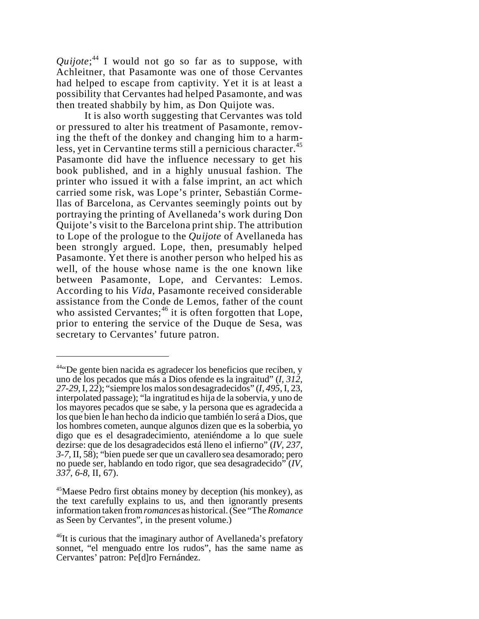*Quijote*; <sup>44</sup> I would not go so far as to suppose, with Achleitner, that Pasamonte was one of those Cervantes had helped to escape from captivity. Yet it is at least a possibility that Cervantes had helped Pasamonte, and was then treated shabbily by him, as Don Quijote was.

It is also worth suggesting that Cervantes was told or pressured to alter his treatment of Pasamonte, removing the theft of the donkey and changing him to a harmless, yet in Cervantine terms still a pernicious character.<sup>45</sup> Pasamonte did have the influence necessary to get his book published, and in a highly unusual fashion. The printer who issued it with a false imprint, an act which carried some risk, was Lope's printer, Sebastián Cormellas of Barcelona, as Cervantes seemingly points out by portraying the printing of Avellaneda's work during Don Quijote's visit to the Barcelona print ship. The attribution to Lope of the prologue to the *Quijote* of Avellaneda has been strongly argued. Lope, then, presumably helped Pasamonte. Yet there is another person who helped his as well, of the house whose name is the one known like between Pasamonte, Lope, and Cervantes: Lemos. According to his *Vida*, Pasamonte received considerable assistance from the Conde de Lemos, father of the count who assisted Cervantes;<sup>46</sup> it is often forgotten that Lope, prior to entering the service of the Duque de Sesa, was secretary to Cervantes' future patron.

 $44$ "De gente bien nacida es agradecer los beneficios que reciben, y uno de los pecados que más a Dios ofende es la ingraitud" (*I, 312, 27-29,* I, 22); "siempre los malos son desagradecidos" (*I, 495*, I, 23, interpolated passage); "la ingratitud es hija de la sobervia, y uno de los mayores pecados que se sabe, y la persona que es agradecida a los que bien le han hecho da indicio que también lo será a Dios, que los hombres cometen, aunque algunos dizen que es la soberbia, yo digo que es el desagradecimiento, ateniéndome a lo que suele dezirse: que de los desagradecidos está lleno el infierno" (*IV, 237, 3-7,* II, 58); "bien puede ser que un cavallero sea desamorado; pero no puede ser, hablando en todo rigor, que sea desagradecido" (*IV, 337, 6-8,* II, 67).

<sup>&</sup>lt;sup>45</sup>Maese Pedro first obtains money by deception (his monkey), as the text carefully explains to us, and then ignorantly presents information taken from *romances* as historical. (See "The*Romance* as Seen by Cervantes", in the present volume.)

 $^{46}$ It is curious that the imaginary author of Avellaneda's prefatory sonnet, "el menguado entre los rudos", has the same name as Cervantes' patron: Pe[d]ro Fernández.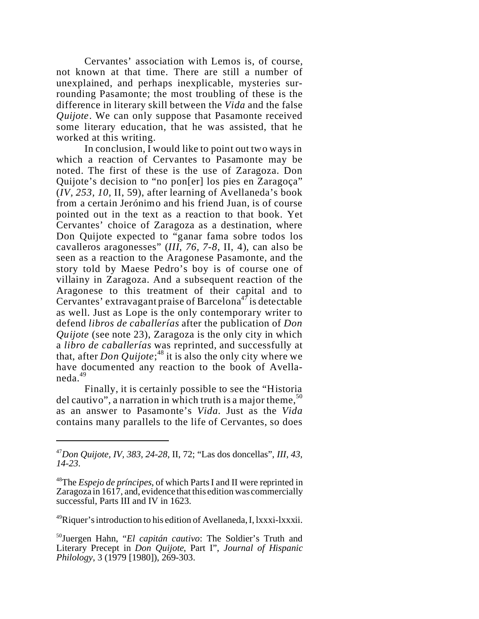Cervantes' association with Lemos is, of course, not known at that time. There are still a number of unexplained, and perhaps inexplicable, mysteries surrounding Pasamonte; the most troubling of these is the difference in literary skill between the *Vida* and the false *Quijote*. We can only suppose that Pasamonte received some literary education, that he was assisted, that he worked at this writing.

In conclusion, I would like to point out two ways in which a reaction of Cervantes to Pasamonte may be noted. The first of these is the use of Zaragoza. Don Quijote's decision to "no pon[er] los pies en Zaragoça" (*IV, 253, 10,* II, 59), after learning of Avellaneda's book from a certain Jerónimo and his friend Juan, is of course pointed out in the text as a reaction to that book. Yet Cervantes' choice of Zaragoza as a destination, where Don Quijote expected to "ganar fama sobre todos los cavalleros aragonesses" (*III, 76, 7-8,* II, 4), can also be seen as a reaction to the Aragonese Pasamonte, and the story told by Maese Pedro's boy is of course one of villainy in Zaragoza. And a subsequent reaction of the Aragonese to this treatment of their capital and to Cervantes' extravagant praise of Barcelona<sup>47</sup> is detectable as well. Just as Lope is the only contemporary writer to defend *libros de caballerías* after the publication of *Don Quijote* (see note 23), Zaragoza is the only city in which a *libro de caballerías* was reprinted, and successfully at that, after *Don Quijote*; <sup>48</sup> it is also the only city where we have documented any reaction to the book of Avellaneda.<sup>49</sup>

Finally, it is certainly possible to see the "Historia del cautivo", a narration in which truth is a major theme,  $50$ as an answer to Pasamonte's *Vida*. Just as the *Vida* contains many parallels to the life of Cervantes, so does

<sup>49</sup>Riquer's introduction to his edition of Avellaneda, I, lxxxi-lxxxii.

<sup>47</sup>*Don Quijote, IV, 383, 24-28*, II, 72; "Las dos doncellas", *III, 43, 14-23*.

<sup>48</sup>The *Espejo de príncipes*, of which Parts I and II were reprinted in Zaragoza in 1617, and, evidence that this edition was commercially successful, Parts III and IV in 1623.

<sup>50</sup>Juergen Hahn, "*El capitán cautivo*: The Soldier's Truth and Literary Precept in *Don Quijote*, Part I", *Journal of Hispanic Philology*, 3 (1979 [1980]), 269-303.